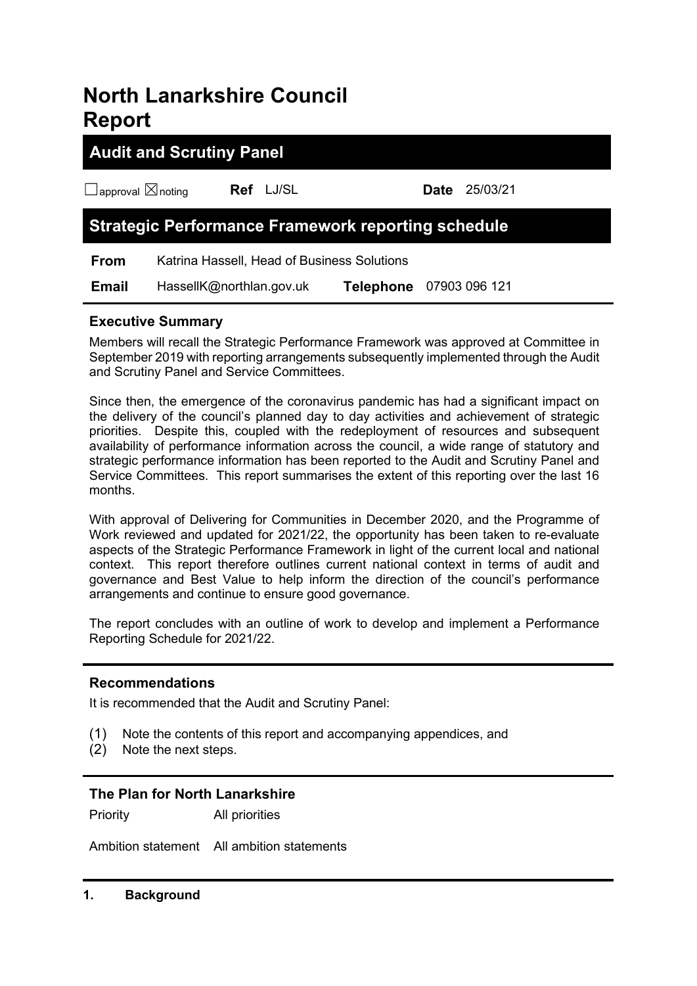# **North Lanarkshire Council Report**

## **Audit and Scrutiny Panel**

| $\Box$ approval $\boxtimes$ noting | Ref LJ/SL                |                                                           | <b>Date</b> | 25/03/21 |
|------------------------------------|--------------------------|-----------------------------------------------------------|-------------|----------|
|                                    |                          | <b>Strategic Performance Framework reporting schedule</b> |             |          |
| <b>From</b>                        |                          | Katrina Hassell, Head of Business Solutions               |             |          |
| <b>Email</b>                       | HassellK@northlan.gov.uk | Telephone 07903 096 121                                   |             |          |

#### **Executive Summary**

Members will recall the Strategic Performance Framework was approved at Committee in September 2019 with reporting arrangements subsequently implemented through the Audit and Scrutiny Panel and Service Committees.

Since then, the emergence of the coronavirus pandemic has had a significant impact on the delivery of the council's planned day to day activities and achievement of strategic priorities. Despite this, coupled with the redeployment of resources and subsequent availability of performance information across the council, a wide range of statutory and strategic performance information has been reported to the Audit and Scrutiny Panel and Service Committees. This report summarises the extent of this reporting over the last 16 months.

With approval of Delivering for Communities in December 2020, and the Programme of Work reviewed and updated for 2021/22, the opportunity has been taken to re-evaluate aspects of the Strategic Performance Framework in light of the current local and national context. This report therefore outlines current national context in terms of audit and governance and Best Value to help inform the direction of the council's performance arrangements and continue to ensure good governance.

The report concludes with an outline of work to develop and implement a Performance Reporting Schedule for 2021/22.

#### **Recommendations**

It is recommended that the Audit and Scrutiny Panel:

- (1) Note the contents of this report and accompanying appendices, and
- (2) Note the next steps.

#### **The Plan for North Lanarkshire**

Priority All priorities

Ambition statement All ambition statements

#### **1. Background**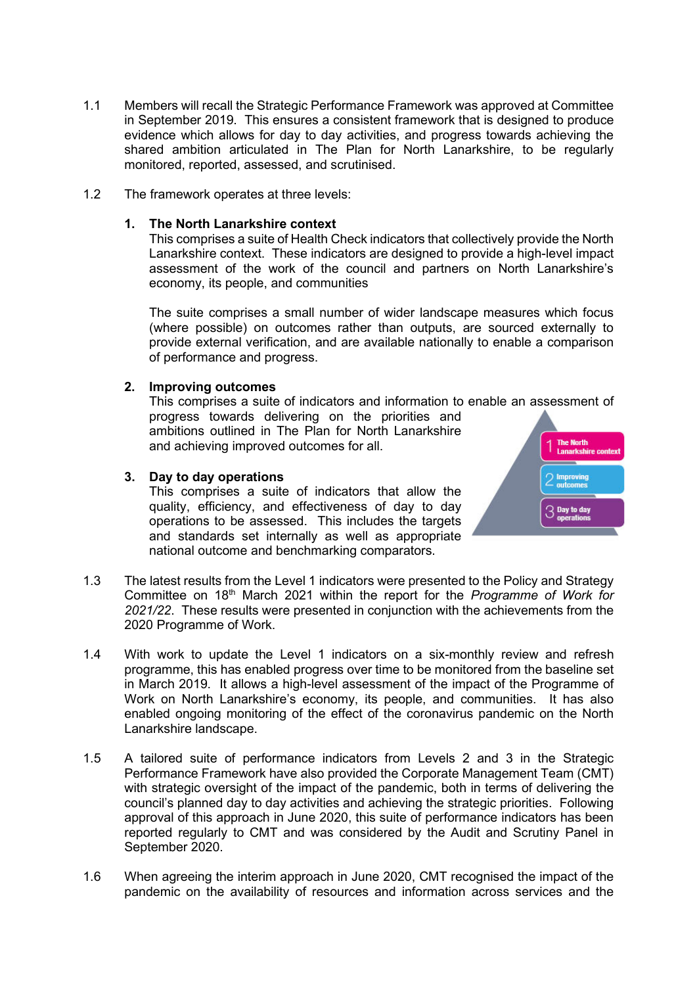- 1.1 Members will recall the Strategic Performance Framework was approved at Committee in September 2019. This ensures a consistent framework that is designed to produce evidence which allows for day to day activities, and progress towards achieving the shared ambition articulated in The Plan for North Lanarkshire, to be regularly monitored, reported, assessed, and scrutinised.
- 1.2 The framework operates at three levels:

#### **1. The North Lanarkshire context**

This comprises a suite of Health Check indicators that collectively provide the North Lanarkshire context. These indicators are designed to provide a high-level impact assessment of the work of the council and partners on North Lanarkshire's economy, its people, and communities

The suite comprises a small number of wider landscape measures which focus (where possible) on outcomes rather than outputs, are sourced externally to provide external verification, and are available nationally to enable a comparison of performance and progress.

#### **2. Improving outcomes**

This comprises a suite of indicators and information to enable an assessment of

progress towards delivering on the priorities and ambitions outlined in The Plan for North Lanarkshire and achieving improved outcomes for all.

#### **3. Day to day operations**

This comprises a suite of indicators that allow the quality, efficiency, and effectiveness of day to day operations to be assessed. This includes the targets and standards set internally as well as appropriate national outcome and benchmarking comparators.



- 1.3 The latest results from the Level 1 indicators were presented to the Policy and Strategy Committee on 18th March 2021 within the report for the *Programme of Work for 2021/22*. These results were presented in conjunction with the achievements from the 2020 Programme of Work.
- 1.4 With work to update the Level 1 indicators on a six-monthly review and refresh programme, this has enabled progress over time to be monitored from the baseline set in March 2019. It allows a high-level assessment of the impact of the Programme of Work on North Lanarkshire's economy, its people, and communities. It has also enabled ongoing monitoring of the effect of the coronavirus pandemic on the North Lanarkshire landscape.
- 1.5 A tailored suite of performance indicators from Levels 2 and 3 in the Strategic Performance Framework have also provided the Corporate Management Team (CMT) with strategic oversight of the impact of the pandemic, both in terms of delivering the council's planned day to day activities and achieving the strategic priorities. Following approval of this approach in June 2020, this suite of performance indicators has been reported regularly to CMT and was considered by the Audit and Scrutiny Panel in September 2020.
- 1.6 When agreeing the interim approach in June 2020, CMT recognised the impact of the pandemic on the availability of resources and information across services and the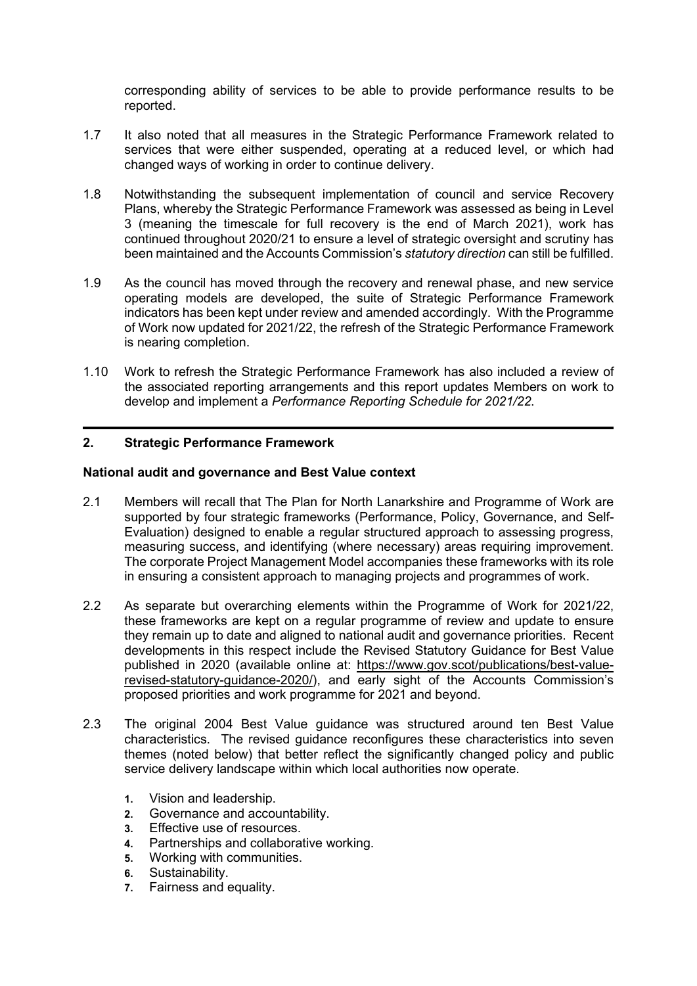corresponding ability of services to be able to provide performance results to be reported.

- 1.7 It also noted that all measures in the Strategic Performance Framework related to services that were either suspended, operating at a reduced level, or which had changed ways of working in order to continue delivery.
- 1.8 Notwithstanding the subsequent implementation of council and service Recovery Plans, whereby the Strategic Performance Framework was assessed as being in Level 3 (meaning the timescale for full recovery is the end of March 2021), work has continued throughout 2020/21 to ensure a level of strategic oversight and scrutiny has been maintained and the Accounts Commission's *statutory direction* can still be fulfilled.
- 1.9 As the council has moved through the recovery and renewal phase, and new service operating models are developed, the suite of Strategic Performance Framework indicators has been kept under review and amended accordingly. With the Programme of Work now updated for 2021/22, the refresh of the Strategic Performance Framework is nearing completion.
- 1.10 Work to refresh the Strategic Performance Framework has also included a review of the associated reporting arrangements and this report updates Members on work to develop and implement a *Performance Reporting Schedule for 2021/22*.

#### **2. Strategic Performance Framework**

#### **National audit and governance and Best Value context**

- 2.1 Members will recall that The Plan for North Lanarkshire and Programme of Work are supported by four strategic frameworks (Performance, Policy, Governance, and Self-Evaluation) designed to enable a regular structured approach to assessing progress, measuring success, and identifying (where necessary) areas requiring improvement. The corporate Project Management Model accompanies these frameworks with its role in ensuring a consistent approach to managing projects and programmes of work.
- 2.2 As separate but overarching elements within the Programme of Work for 2021/22, these frameworks are kept on a regular programme of review and update to ensure they remain up to date and aligned to national audit and governance priorities. Recent developments in this respect include the Revised Statutory Guidance for Best Value published in 2020 (available online at: [https://www.gov.scot/publications/best-value](https://www.gov.scot/publications/best-value-revised-statutory-guidance-2020/)[revised-statutory-guidance-2020/\)](https://www.gov.scot/publications/best-value-revised-statutory-guidance-2020/), and early sight of the Accounts Commission's proposed priorities and work programme for 2021 and beyond.
- 2.3 The original 2004 Best Value guidance was structured around ten Best Value characteristics. The revised guidance reconfigures these characteristics into seven themes (noted below) that better reflect the significantly changed policy and public service delivery landscape within which local authorities now operate.
	- **1.** Vision and leadership.
	- **2.** Governance and accountability.
	- **3.** Effective use of resources.
	- **4.** Partnerships and collaborative working.
	- **5.** Working with communities.
	- **6.** Sustainability.
	- **7.** Fairness and equality.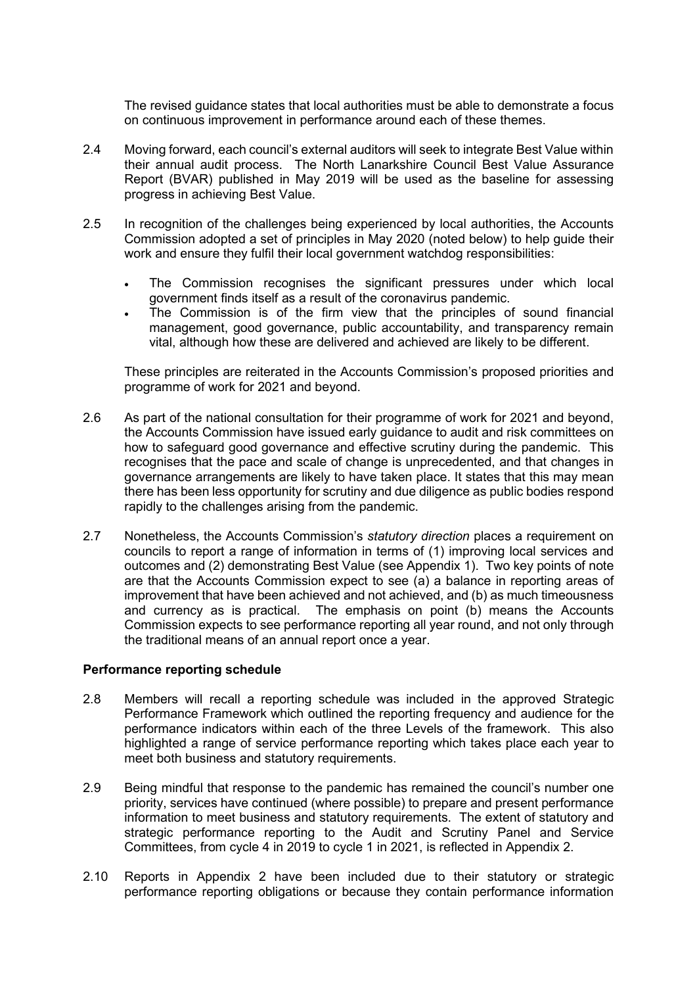The revised guidance states that local authorities must be able to demonstrate a focus on continuous improvement in performance around each of these themes.

- 2.4 Moving forward, each council's external auditors will seek to integrate Best Value within their annual audit process. The North Lanarkshire Council Best Value Assurance Report (BVAR) published in May 2019 will be used as the baseline for assessing progress in achieving Best Value.
- 2.5 In recognition of the challenges being experienced by local authorities, the Accounts Commission adopted a set of principles in May 2020 (noted below) to help guide their work and ensure they fulfil their local government watchdog responsibilities:
	- The Commission recognises the significant pressures under which local government finds itself as a result of the coronavirus pandemic.
	- The Commission is of the firm view that the principles of sound financial management, good governance, public accountability, and transparency remain vital, although how these are delivered and achieved are likely to be different.

These principles are reiterated in the Accounts Commission's proposed priorities and programme of work for 2021 and beyond.

- 2.6 As part of the national consultation for their programme of work for 2021 and beyond, the Accounts Commission have issued early guidance to audit and risk committees on how to safeguard good governance and effective scrutiny during the pandemic. This recognises that the pace and scale of change is unprecedented, and that changes in governance arrangements are likely to have taken place. It states that this may mean there has been less opportunity for scrutiny and due diligence as public bodies respond rapidly to the challenges arising from the pandemic.
- 2.7 Nonetheless, the Accounts Commission's *statutory direction* places a requirement on councils to report a range of information in terms of (1) improving local services and outcomes and (2) demonstrating Best Value (see Appendix 1). Two key points of note are that the Accounts Commission expect to see (a) a balance in reporting areas of improvement that have been achieved and not achieved, and (b) as much timeousness and currency as is practical. The emphasis on point (b) means the Accounts Commission expects to see performance reporting all year round, and not only through the traditional means of an annual report once a year.

#### **Performance reporting schedule**

- 2.8 Members will recall a reporting schedule was included in the approved Strategic Performance Framework which outlined the reporting frequency and audience for the performance indicators within each of the three Levels of the framework. This also highlighted a range of service performance reporting which takes place each year to meet both business and statutory requirements.
- 2.9 Being mindful that response to the pandemic has remained the council's number one priority, services have continued (where possible) to prepare and present performance information to meet business and statutory requirements. The extent of statutory and strategic performance reporting to the Audit and Scrutiny Panel and Service Committees, from cycle 4 in 2019 to cycle 1 in 2021, is reflected in Appendix 2.
- 2.10 Reports in Appendix 2 have been included due to their statutory or strategic performance reporting obligations or because they contain performance information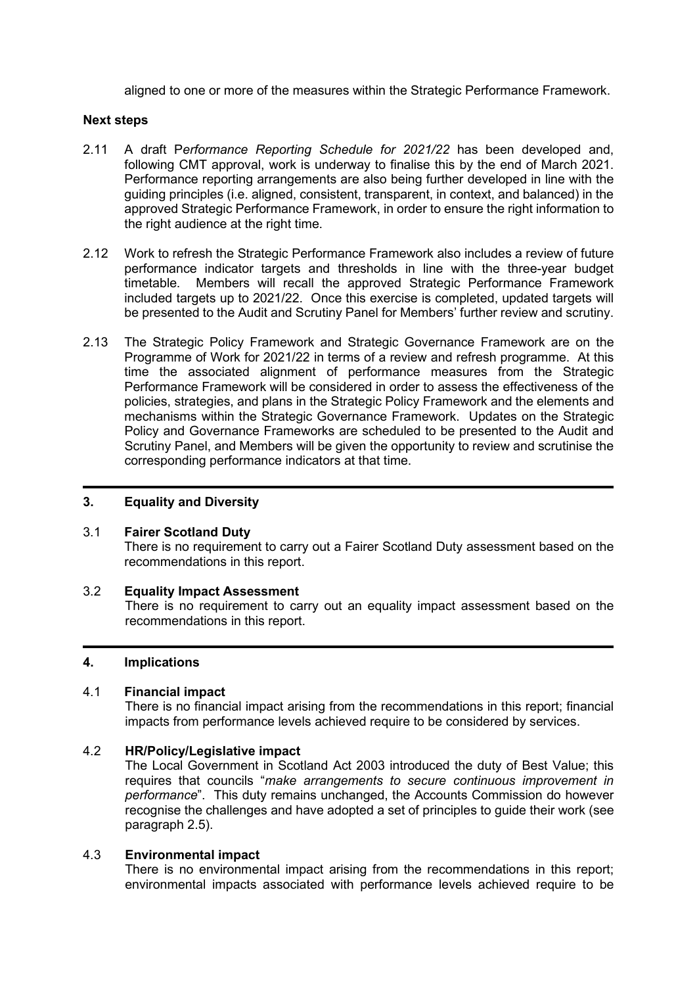aligned to one or more of the measures within the Strategic Performance Framework.

#### **Next steps**

- 2.11 A draft P*erformance Reporting Schedule for 2021/22* has been developed and, following CMT approval, work is underway to finalise this by the end of March 2021. Performance reporting arrangements are also being further developed in line with the guiding principles (i.e. aligned, consistent, transparent, in context, and balanced) in the approved Strategic Performance Framework, in order to ensure the right information to the right audience at the right time.
- 2.12 Work to refresh the Strategic Performance Framework also includes a review of future performance indicator targets and thresholds in line with the three-year budget timetable. Members will recall the approved Strategic Performance Framework included targets up to 2021/22. Once this exercise is completed, updated targets will be presented to the Audit and Scrutiny Panel for Members' further review and scrutiny.
- 2.13 The Strategic Policy Framework and Strategic Governance Framework are on the Programme of Work for 2021/22 in terms of a review and refresh programme. At this time the associated alignment of performance measures from the Strategic Performance Framework will be considered in order to assess the effectiveness of the policies, strategies, and plans in the Strategic Policy Framework and the elements and mechanisms within the Strategic Governance Framework. Updates on the Strategic Policy and Governance Frameworks are scheduled to be presented to the Audit and Scrutiny Panel, and Members will be given the opportunity to review and scrutinise the corresponding performance indicators at that time.

#### **3. Equality and Diversity**

#### 3.1 **Fairer Scotland Duty**

There is no requirement to carry out a Fairer Scotland Duty assessment based on the recommendations in this report.

#### 3.2 **Equality Impact Assessment**

There is no requirement to carry out an equality impact assessment based on the recommendations in this report.

#### **4. Implications**

#### 4.1 **Financial impact**

There is no financial impact arising from the recommendations in this report; financial impacts from performance levels achieved require to be considered by services.

#### 4.2 **HR/Policy/Legislative impact**

The Local Government in Scotland Act 2003 introduced the duty of Best Value; this requires that councils "*make arrangements to secure continuous improvement in performance*". This duty remains unchanged, the Accounts Commission do however recognise the challenges and have adopted a set of principles to guide their work (see paragraph 2.5).

#### 4.3 **Environmental impact**

There is no environmental impact arising from the recommendations in this report; environmental impacts associated with performance levels achieved require to be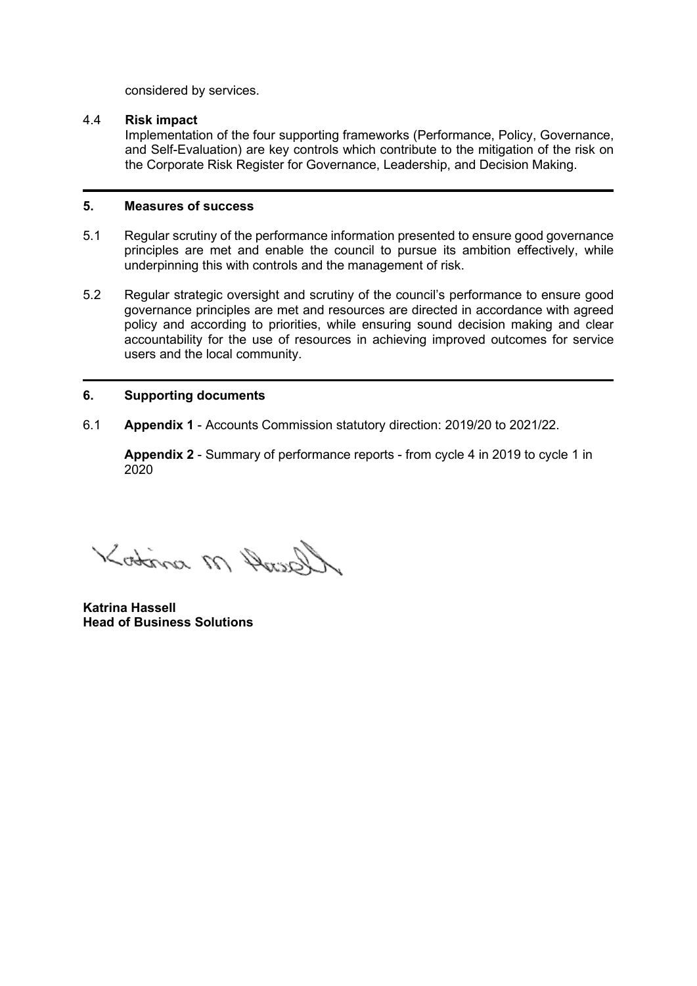considered by services.

#### 4.4 **Risk impact**

Implementation of the four supporting frameworks (Performance, Policy, Governance, and Self-Evaluation) are key controls which contribute to the mitigation of the risk on the Corporate Risk Register for Governance, Leadership, and Decision Making.

#### **5. Measures of success**

- 5.1 Regular scrutiny of the performance information presented to ensure good governance principles are met and enable the council to pursue its ambition effectively, while underpinning this with controls and the management of risk.
- 5.2 Regular strategic oversight and scrutiny of the council's performance to ensure good governance principles are met and resources are directed in accordance with agreed policy and according to priorities, while ensuring sound decision making and clear accountability for the use of resources in achieving improved outcomes for service users and the local community.

#### **6. Supporting documents**

6.1 **Appendix 1** - Accounts Commission statutory direction: 2019/20 to 2021/22.

**Appendix 2** - Summary of performance reports - from cycle 4 in 2019 to cycle 1 in 2020

Kotina M Anisch

**Katrina Hassell Head of Business Solutions**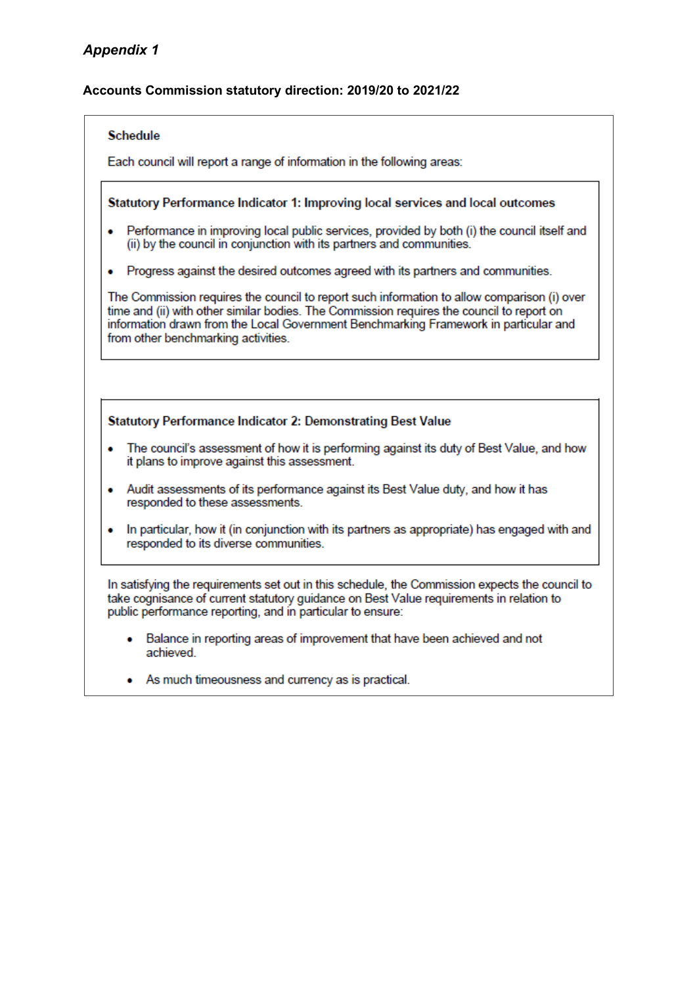#### **Accounts Commission statutory direction: 2019/20 to 2021/22**

#### **Schedule**

Each council will report a range of information in the following areas:

#### Statutory Performance Indicator 1: Improving local services and local outcomes

- Performance in improving local public services, provided by both (i) the council itself and  $\bullet$ (ii) by the council in conjunction with its partners and communities.
- Progress against the desired outcomes agreed with its partners and communities.

The Commission requires the council to report such information to allow comparison (i) over time and (ii) with other similar bodies. The Commission requires the council to report on information drawn from the Local Government Benchmarking Framework in particular and from other benchmarking activities.

#### Statutory Performance Indicator 2: Demonstrating Best Value

- The council's assessment of how it is performing against its duty of Best Value, and how ٠ it plans to improve against this assessment.
- Audit assessments of its performance against its Best Value duty, and how it has responded to these assessments.
- In particular, how it (in conjunction with its partners as appropriate) has engaged with and  $\bullet$ responded to its diverse communities.

In satisfying the requirements set out in this schedule, the Commission expects the council to take cognisance of current statutory guidance on Best Value requirements in relation to public performance reporting, and in particular to ensure:

- Balance in reporting areas of improvement that have been achieved and not  $\bullet$ achieved
- As much timeousness and currency as is practical.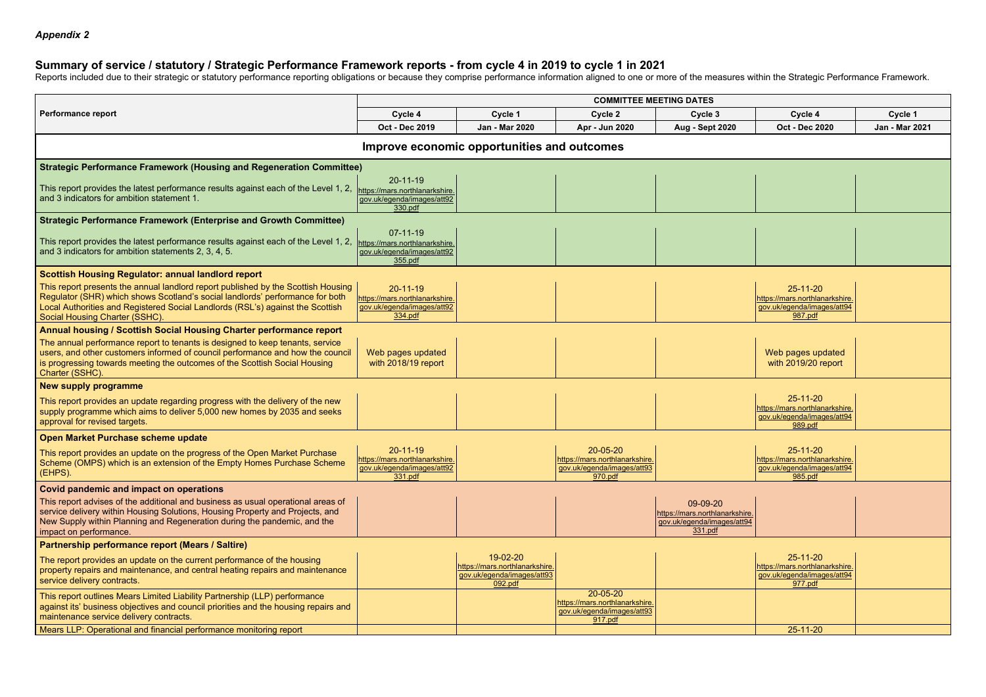## **Summary of service / statutory / Strategic Performance Framework reports - from cycle 4 in 2019 to cycle 1 in 2021**

Reports included due to their strategic or statutory performance reporting obligations or because they comprise performance information aligned to one or more of the measures within the Strategic Performance Framework.

|                                                                                                                                                                                                                                                                                        | <b>COMMITTEE MEETING DATES</b>                                                            |                                                                                     |                                                                                     |                                                                                     |                                                                                           |                |
|----------------------------------------------------------------------------------------------------------------------------------------------------------------------------------------------------------------------------------------------------------------------------------------|-------------------------------------------------------------------------------------------|-------------------------------------------------------------------------------------|-------------------------------------------------------------------------------------|-------------------------------------------------------------------------------------|-------------------------------------------------------------------------------------------|----------------|
| <b>Performance report</b>                                                                                                                                                                                                                                                              | Cycle 4                                                                                   | Cycle 1                                                                             | Cycle 2                                                                             | Cycle 3                                                                             | Cycle 4                                                                                   | Cycle 1        |
|                                                                                                                                                                                                                                                                                        | Oct - Dec 2019                                                                            | Jan - Mar 2020                                                                      | Apr - Jun 2020                                                                      | <b>Aug - Sept 2020</b>                                                              | <b>Oct - Dec 2020</b>                                                                     | Jan - Mar 2021 |
|                                                                                                                                                                                                                                                                                        |                                                                                           | Improve economic opportunities and outcomes                                         |                                                                                     |                                                                                     |                                                                                           |                |
| <b>Strategic Performance Framework (Housing and Regeneration Committee)</b>                                                                                                                                                                                                            |                                                                                           |                                                                                     |                                                                                     |                                                                                     |                                                                                           |                |
| This report provides the latest performance results against each of the Level 1, 2,<br>and 3 indicators for ambition statement 1.                                                                                                                                                      | $20-11-19$<br>https://mars.northlanarkshire.<br>gov.uk/egenda/images/att92<br>330.pdf     |                                                                                     |                                                                                     |                                                                                     |                                                                                           |                |
| <b>Strategic Performance Framework (Enterprise and Growth Committee)</b>                                                                                                                                                                                                               |                                                                                           |                                                                                     |                                                                                     |                                                                                     |                                                                                           |                |
| This report provides the latest performance results against each of the Level 1, 2,<br>and 3 indicators for ambition statements 2, 3, 4, 5.                                                                                                                                            | $07-11-19$<br>https://mars.northlanarkshire.<br>gov.uk/egenda/images/att92<br>355.pdf     |                                                                                     |                                                                                     |                                                                                     |                                                                                           |                |
| Scottish Housing Regulator: annual landlord report                                                                                                                                                                                                                                     |                                                                                           |                                                                                     |                                                                                     |                                                                                     |                                                                                           |                |
| This report presents the annual landlord report published by the Scottish Housing<br>Regulator (SHR) which shows Scotland's social landlords' performance for both<br>Local Authorities and Registered Social Landlords (RSL's) against the Scottish<br>Social Housing Charter (SSHC). | $20 - 11 - 19$<br>https://mars.northlanarkshire.<br>gov.uk/egenda/images/att92<br>334.pdf |                                                                                     |                                                                                     |                                                                                     | $25 - 11 - 20$<br>https://mars.northlanarkshire.<br>gov.uk/egenda/images/att94<br>987.pdf |                |
| Annual housing / Scottish Social Housing Charter performance report                                                                                                                                                                                                                    |                                                                                           |                                                                                     |                                                                                     |                                                                                     |                                                                                           |                |
| The annual performance report to tenants is designed to keep tenants, service<br>users, and other customers informed of council performance and how the council<br>is progressing towards meeting the outcomes of the Scottish Social Housing<br>Charter (SSHC).                       | Web pages updated<br>with 2018/19 report                                                  |                                                                                     |                                                                                     |                                                                                     | Web pages updated<br>with 2019/20 report                                                  |                |
| New supply programme                                                                                                                                                                                                                                                                   |                                                                                           |                                                                                     |                                                                                     |                                                                                     |                                                                                           |                |
| This report provides an update regarding progress with the delivery of the new<br>supply programme which aims to deliver 5,000 new homes by 2035 and seeks<br>approval for revised targets.                                                                                            |                                                                                           |                                                                                     |                                                                                     |                                                                                     | $25 - 11 - 20$<br>https://mars.northlanarkshire.<br>gov.uk/egenda/images/att94<br>989.pdf |                |
| Open Market Purchase scheme update                                                                                                                                                                                                                                                     |                                                                                           |                                                                                     |                                                                                     |                                                                                     |                                                                                           |                |
| This report provides an update on the progress of the Open Market Purchase<br>Scheme (OMPS) which is an extension of the Empty Homes Purchase Scheme<br>(EHPS).                                                                                                                        | $20 - 11 - 19$<br>https://mars.northlanarkshire.<br>gov.uk/egenda/images/att92<br>331.pdf |                                                                                     | 20-05-20<br>https://mars.northlanarkshire.<br>gov.uk/egenda/images/att93<br>970.pdf |                                                                                     | 25-11-20<br>https://mars.northlanarkshire.<br>gov.uk/egenda/images/att94<br>985.pdf       |                |
| <b>Covid pandemic and impact on operations</b>                                                                                                                                                                                                                                         |                                                                                           |                                                                                     |                                                                                     |                                                                                     |                                                                                           |                |
| This report advises of the additional and business as usual operational areas of<br>service delivery within Housing Solutions, Housing Property and Projects, and<br>New Supply within Planning and Regeneration during the pandemic, and the<br>impact on performance.                |                                                                                           |                                                                                     |                                                                                     | 09-09-20<br>https://mars.northlanarkshire.<br>gov.uk/egenda/images/att94<br>331.pdf |                                                                                           |                |
| Partnership performance report (Mears / Saltire)                                                                                                                                                                                                                                       |                                                                                           |                                                                                     |                                                                                     |                                                                                     |                                                                                           |                |
| The report provides an update on the current performance of the housing<br>property repairs and maintenance, and central heating repairs and maintenance<br>service delivery contracts.                                                                                                |                                                                                           | 19-02-20<br>https://mars.northlanarkshire.<br>gov.uk/egenda/images/att93<br>092.pdf |                                                                                     |                                                                                     | $25 - 11 - 20$<br>https://mars.northlanarkshire.<br>gov.uk/egenda/images/att94<br>977.pdf |                |
| This report outlines Mears Limited Liability Partnership (LLP) performance<br>against its' business objectives and council priorities and the housing repairs and<br>maintenance service delivery contracts.                                                                           |                                                                                           |                                                                                     | 20-05-20<br>https://mars.northlanarkshire.<br>gov.uk/egenda/images/att93<br>917.pdf |                                                                                     |                                                                                           |                |
| Mears LLP: Operational and financial performance monitoring report                                                                                                                                                                                                                     |                                                                                           |                                                                                     |                                                                                     |                                                                                     | 25-11-20                                                                                  |                |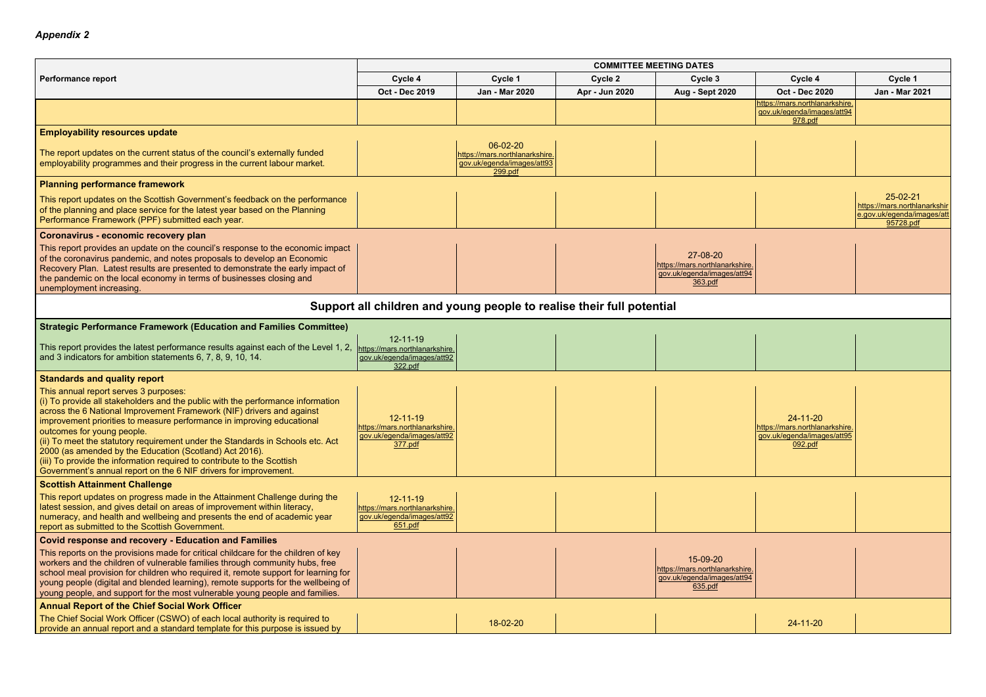|                                                                                                                                                                                                                                                                                                                                                                                                                                                                                                                                                                                                       | <b>COMMITTEE MEETING DATES</b>                                                            |                                                                                    |                |                                                                                     |                                                                                          |                                                                                     |  |  |
|-------------------------------------------------------------------------------------------------------------------------------------------------------------------------------------------------------------------------------------------------------------------------------------------------------------------------------------------------------------------------------------------------------------------------------------------------------------------------------------------------------------------------------------------------------------------------------------------------------|-------------------------------------------------------------------------------------------|------------------------------------------------------------------------------------|----------------|-------------------------------------------------------------------------------------|------------------------------------------------------------------------------------------|-------------------------------------------------------------------------------------|--|--|
| Performance report                                                                                                                                                                                                                                                                                                                                                                                                                                                                                                                                                                                    | Cycle 4                                                                                   | Cycle 1                                                                            | Cycle 2        | Cycle 3                                                                             | Cycle 4                                                                                  | Cycle 1                                                                             |  |  |
|                                                                                                                                                                                                                                                                                                                                                                                                                                                                                                                                                                                                       | Oct - Dec 2019                                                                            | Jan - Mar 2020                                                                     | Apr - Jun 2020 | <b>Aug - Sept 2020</b>                                                              | <b>Oct - Dec 2020</b>                                                                    | Jan - Mar 2021                                                                      |  |  |
|                                                                                                                                                                                                                                                                                                                                                                                                                                                                                                                                                                                                       |                                                                                           |                                                                                    |                |                                                                                     | https://mars.northlanarkshire.<br>gov.uk/egenda/images/att94<br>978.pdf                  |                                                                                     |  |  |
| <b>Employability resources update</b>                                                                                                                                                                                                                                                                                                                                                                                                                                                                                                                                                                 |                                                                                           |                                                                                    |                |                                                                                     |                                                                                          |                                                                                     |  |  |
| The report updates on the current status of the council's externally funded<br>employability programmes and their progress in the current labour market.                                                                                                                                                                                                                                                                                                                                                                                                                                              |                                                                                           | 06-02-20<br>https://mars.northlanarkshire<br>gov.uk/egenda/images/att93<br>299.pdf |                |                                                                                     |                                                                                          |                                                                                     |  |  |
| <b>Planning performance framework</b>                                                                                                                                                                                                                                                                                                                                                                                                                                                                                                                                                                 |                                                                                           |                                                                                    |                |                                                                                     |                                                                                          |                                                                                     |  |  |
| This report updates on the Scottish Government's feedback on the performance<br>of the planning and place service for the latest year based on the Planning<br>Performance Framework (PPF) submitted each year.                                                                                                                                                                                                                                                                                                                                                                                       |                                                                                           |                                                                                    |                |                                                                                     |                                                                                          | 25-02-21<br>https://mars.northlanarkshir<br>e.gov.uk/egenda/images/att<br>95728.pdf |  |  |
| Coronavirus - economic recovery plan                                                                                                                                                                                                                                                                                                                                                                                                                                                                                                                                                                  |                                                                                           |                                                                                    |                |                                                                                     |                                                                                          |                                                                                     |  |  |
| This report provides an update on the council's response to the economic impact<br>of the coronavirus pandemic, and notes proposals to develop an Economic<br>Recovery Plan. Latest results are presented to demonstrate the early impact of<br>the pandemic on the local economy in terms of businesses closing and<br>unemployment increasing                                                                                                                                                                                                                                                       |                                                                                           |                                                                                    |                | 27-08-20<br>https://mars.northlanarkshire.<br>gov.uk/egenda/images/att94<br>363.pdf |                                                                                          |                                                                                     |  |  |
| Support all children and young people to realise their full potential                                                                                                                                                                                                                                                                                                                                                                                                                                                                                                                                 |                                                                                           |                                                                                    |                |                                                                                     |                                                                                          |                                                                                     |  |  |
| <b>Strategic Performance Framework (Education and Families Committee)</b>                                                                                                                                                                                                                                                                                                                                                                                                                                                                                                                             |                                                                                           |                                                                                    |                |                                                                                     |                                                                                          |                                                                                     |  |  |
| This report provides the latest performance results against each of the Level 1, 2,<br>and 3 indicators for ambition statements 6, 7, 8, 9, 10, 14.                                                                                                                                                                                                                                                                                                                                                                                                                                                   | $12 - 11 - 19$<br>https://mars.northlanarkshire.<br>gov.uk/egenda/images/att92<br>322.pdf |                                                                                    |                |                                                                                     |                                                                                          |                                                                                     |  |  |
| <b>Standards and quality report</b>                                                                                                                                                                                                                                                                                                                                                                                                                                                                                                                                                                   |                                                                                           |                                                                                    |                |                                                                                     |                                                                                          |                                                                                     |  |  |
| This annual report serves 3 purposes:<br>(i) To provide all stakeholders and the public with the performance information<br>across the 6 National Improvement Framework (NIF) drivers and against<br>improvement priorities to measure performance in improving educational<br>outcomes for young people.<br>(ii) To meet the statutory requirement under the Standards in Schools etc. Act<br>2000 (as amended by the Education (Scotland) Act 2016).<br>(iii) To provide the information required to contribute to the Scottish<br>Government's annual report on the 6 NIF drivers for improvement. | $12 - 11 - 19$<br>ittps://mars.northlanarkshire<br>gov.uk/egenda/images/att92<br>377.pdf  |                                                                                    |                |                                                                                     | $24 - 11 - 20$<br>https://mars.northlanarkshire<br>gov.uk/egenda/images/att95<br>092.pdf |                                                                                     |  |  |
| <b>Scottish Attainment Challenge</b>                                                                                                                                                                                                                                                                                                                                                                                                                                                                                                                                                                  |                                                                                           |                                                                                    |                |                                                                                     |                                                                                          |                                                                                     |  |  |
| This report updates on progress made in the Attainment Challenge during the<br>latest session, and gives detail on areas of improvement within literacy,<br>numeracy, and health and wellbeing and presents the end of academic year<br>report as submitted to the Scottish Government.                                                                                                                                                                                                                                                                                                               | $12 - 11 - 19$<br>https://mars.northlanarkshire.<br>gov.uk/egenda/images/att92<br>651.pdf |                                                                                    |                |                                                                                     |                                                                                          |                                                                                     |  |  |
| <b>Covid response and recovery - Education and Families</b>                                                                                                                                                                                                                                                                                                                                                                                                                                                                                                                                           |                                                                                           |                                                                                    |                |                                                                                     |                                                                                          |                                                                                     |  |  |
| This reports on the provisions made for critical childcare for the children of key<br>workers and the children of vulnerable families through community hubs, free<br>school meal provision for children who required it, remote support for learning for<br>young people (digital and blended learning), remote supports for the wellbeing of<br>young people, and support for the most vulnerable young people and families.                                                                                                                                                                        |                                                                                           |                                                                                    |                | 15-09-20<br>https://mars.northlanarkshire.<br>gov.uk/egenda/images/att94<br>635.pdf |                                                                                          |                                                                                     |  |  |
| <b>Annual Report of the Chief Social Work Officer</b>                                                                                                                                                                                                                                                                                                                                                                                                                                                                                                                                                 |                                                                                           |                                                                                    |                |                                                                                     |                                                                                          |                                                                                     |  |  |
| The Chief Social Work Officer (CSWO) of each local authority is required to<br>provide an annual report and a standard template for this purpose is issued by                                                                                                                                                                                                                                                                                                                                                                                                                                         |                                                                                           | 18-02-20                                                                           |                |                                                                                     | $24 - 11 - 20$                                                                           |                                                                                     |  |  |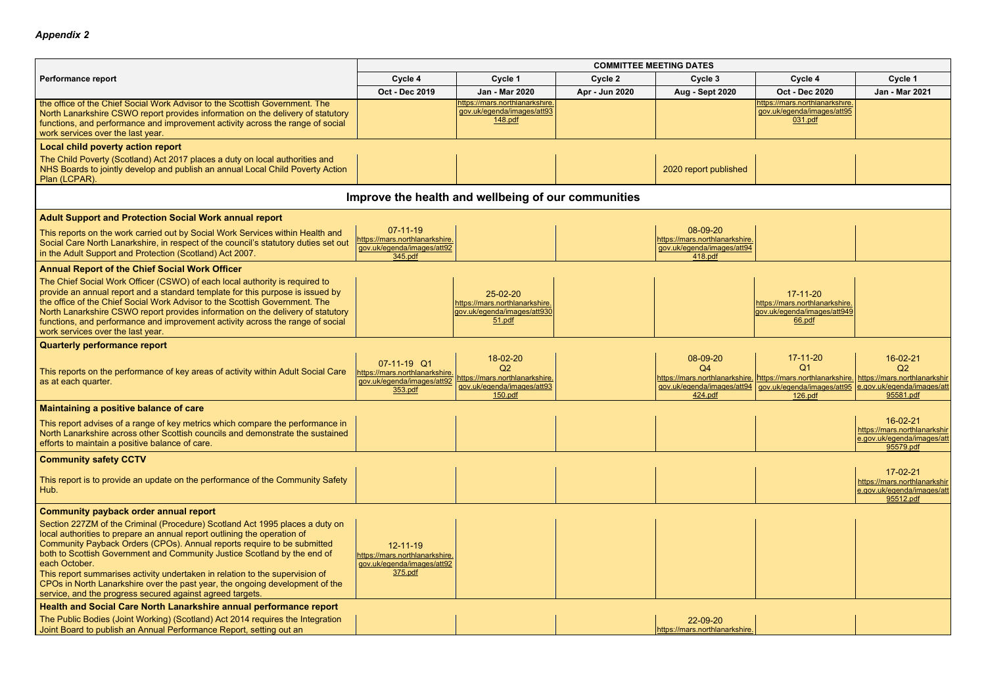|                                                                                                                                                                                                                                                                                                                                                                                                                                                                                                                                                               | <b>COMMITTEE MEETING DATES</b>                                                            |                                                                                                      |                |                                                                                     |                                                                                           |                                                                                           |  |
|---------------------------------------------------------------------------------------------------------------------------------------------------------------------------------------------------------------------------------------------------------------------------------------------------------------------------------------------------------------------------------------------------------------------------------------------------------------------------------------------------------------------------------------------------------------|-------------------------------------------------------------------------------------------|------------------------------------------------------------------------------------------------------|----------------|-------------------------------------------------------------------------------------|-------------------------------------------------------------------------------------------|-------------------------------------------------------------------------------------------|--|
| <b>Performance report</b>                                                                                                                                                                                                                                                                                                                                                                                                                                                                                                                                     | Cycle 4                                                                                   | Cycle 1                                                                                              | Cycle 2        | Cycle 3                                                                             | Cycle 4                                                                                   | Cycle 1                                                                                   |  |
|                                                                                                                                                                                                                                                                                                                                                                                                                                                                                                                                                               | Oct - Dec 2019                                                                            | Jan - Mar 2020                                                                                       | Apr - Jun 2020 | <b>Aug - Sept 2020</b>                                                              | <b>Oct - Dec 2020</b>                                                                     | <b>Jan - Mar 2021</b>                                                                     |  |
| the office of the Chief Social Work Advisor to the Scottish Government. The<br>North Lanarkshire CSWO report provides information on the delivery of statutory<br>functions, and performance and improvement activity across the range of social<br>work services over the last year.                                                                                                                                                                                                                                                                         |                                                                                           | https://mars.northlanarkshire.<br>gov.uk/egenda/images/att93<br>148.pdf                              |                |                                                                                     | https://mars.northlanarkshire.<br>gov.uk/egenda/images/att95<br>031.pdf                   |                                                                                           |  |
| <b>Local child poverty action report</b>                                                                                                                                                                                                                                                                                                                                                                                                                                                                                                                      |                                                                                           |                                                                                                      |                |                                                                                     |                                                                                           |                                                                                           |  |
| The Child Poverty (Scotland) Act 2017 places a duty on local authorities and<br>NHS Boards to jointly develop and publish an annual Local Child Poverty Action<br>Plan (LCPAR).                                                                                                                                                                                                                                                                                                                                                                               |                                                                                           |                                                                                                      |                | 2020 report published                                                               |                                                                                           |                                                                                           |  |
|                                                                                                                                                                                                                                                                                                                                                                                                                                                                                                                                                               |                                                                                           | Improve the health and wellbeing of our communities                                                  |                |                                                                                     |                                                                                           |                                                                                           |  |
| <b>Adult Support and Protection Social Work annual report</b>                                                                                                                                                                                                                                                                                                                                                                                                                                                                                                 |                                                                                           |                                                                                                      |                |                                                                                     |                                                                                           |                                                                                           |  |
| This reports on the work carried out by Social Work Services within Health and<br>Social Care North Lanarkshire, in respect of the council's statutory duties set out<br>in the Adult Support and Protection (Scotland) Act 2007.                                                                                                                                                                                                                                                                                                                             | $07 - 11 - 19$<br>https://mars.northlanarkshire.<br>gov.uk/egenda/images/att92<br>345.pdf |                                                                                                      |                | 08-09-20<br>https://mars.northlanarkshire.<br>gov.uk/egenda/images/att94<br>418.pdf |                                                                                           |                                                                                           |  |
| <b>Annual Report of the Chief Social Work Officer</b>                                                                                                                                                                                                                                                                                                                                                                                                                                                                                                         |                                                                                           |                                                                                                      |                |                                                                                     |                                                                                           |                                                                                           |  |
| The Chief Social Work Officer (CSWO) of each local authority is required to<br>provide an annual report and a standard template for this purpose is issued by<br>the office of the Chief Social Work Advisor to the Scottish Government. The<br>North Lanarkshire CSWO report provides information on the delivery of statutory<br>functions, and performance and improvement activity across the range of social<br>work services over the last year.                                                                                                        |                                                                                           | 25-02-20<br>https://mars.northlanarkshire.<br><u>gov.uk/egenda/images/att930</u><br>51.pdf           |                |                                                                                     | $17 - 11 - 20$<br>https://mars.northlanarkshire.<br>gov.uk/egenda/images/att949<br>66.pdf |                                                                                           |  |
| <b>Quarterly performance report</b>                                                                                                                                                                                                                                                                                                                                                                                                                                                                                                                           |                                                                                           |                                                                                                      |                |                                                                                     |                                                                                           |                                                                                           |  |
| This reports on the performance of key areas of activity within Adult Social Care<br>as at each quarter.                                                                                                                                                                                                                                                                                                                                                                                                                                                      | 07-11-19 Q1<br>https://mars.northlanarkshire.<br>gov.uk/egenda/images/att92<br>353.pdf    | 18-02-20<br>Q <sub>2</sub><br>https://mars.northlanarkshire<br>gov.uk/egenda/images/att93<br>150.pdf |                | 08-09-20<br>O4<br>gov.uk/egenda/images/att94<br>424.pdf                             | $17 - 11 - 20$<br>$\Omega$ 1<br>gov.uk/egenda/images/att95<br>126.pdf                     | 16-02-21<br>Q2<br>https://mars.northlanarkshir<br>e.gov.uk/egenda/images/att<br>95581.pdf |  |
| Maintaining a positive balance of care                                                                                                                                                                                                                                                                                                                                                                                                                                                                                                                        |                                                                                           |                                                                                                      |                |                                                                                     |                                                                                           |                                                                                           |  |
| This report advises of a range of key metrics which compare the performance in<br>North Lanarkshire across other Scottish councils and demonstrate the sustained<br>efforts to maintain a positive balance of care.                                                                                                                                                                                                                                                                                                                                           |                                                                                           |                                                                                                      |                |                                                                                     |                                                                                           | $16 - 02 - 21$<br>https://mars.northlanarkshir<br>e.gov.uk/egenda/images/att<br>95579.pdf |  |
| <b>Community safety CCTV</b>                                                                                                                                                                                                                                                                                                                                                                                                                                                                                                                                  |                                                                                           |                                                                                                      |                |                                                                                     |                                                                                           |                                                                                           |  |
| This report is to provide an update on the performance of the Community Safety<br>Hub.                                                                                                                                                                                                                                                                                                                                                                                                                                                                        |                                                                                           |                                                                                                      |                |                                                                                     |                                                                                           | $17 - 02 - 21$<br>https://mars.northlanarkshir<br>e.gov.uk/egenda/images/att<br>95512.pdf |  |
| <b>Community payback order annual report</b>                                                                                                                                                                                                                                                                                                                                                                                                                                                                                                                  |                                                                                           |                                                                                                      |                |                                                                                     |                                                                                           |                                                                                           |  |
| Section 227ZM of the Criminal (Procedure) Scotland Act 1995 places a duty on<br>local authorities to prepare an annual report outlining the operation of<br>Community Payback Orders (CPOs). Annual reports require to be submitted<br>both to Scottish Government and Community Justice Scotland by the end of<br>each October.<br>This report summarises activity undertaken in relation to the supervision of<br>CPOs in North Lanarkshire over the past year, the ongoing development of the<br>service, and the progress secured against agreed targets. | $12 - 11 - 19$<br>https://mars.northlanarkshire.<br>gov.uk/egenda/images/att92<br>375.pdf |                                                                                                      |                |                                                                                     |                                                                                           |                                                                                           |  |
| Health and Social Care North Lanarkshire annual performance report                                                                                                                                                                                                                                                                                                                                                                                                                                                                                            |                                                                                           |                                                                                                      |                |                                                                                     |                                                                                           |                                                                                           |  |
| The Public Bodies (Joint Working) (Scotland) Act 2014 requires the Integration<br>Joint Board to publish an Annual Performance Report, setting out an                                                                                                                                                                                                                                                                                                                                                                                                         |                                                                                           |                                                                                                      |                | 22-09-20<br>https://mars.northlanarkshire.                                          |                                                                                           |                                                                                           |  |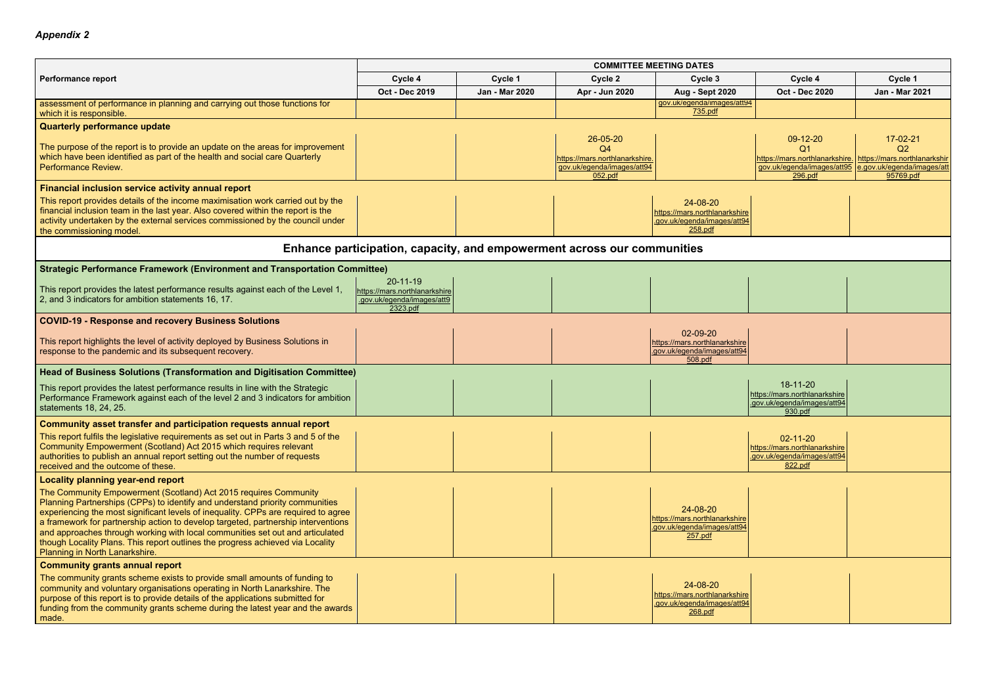|                                                                                                                                                                                                                                                                                                                                                                                                                                                                                                                                  | <b>COMMITTEE MEETING DATES</b>                                                      |                |                                                                                                       |                                                                                     |                                                                                           |                                                                                      |  |  |
|----------------------------------------------------------------------------------------------------------------------------------------------------------------------------------------------------------------------------------------------------------------------------------------------------------------------------------------------------------------------------------------------------------------------------------------------------------------------------------------------------------------------------------|-------------------------------------------------------------------------------------|----------------|-------------------------------------------------------------------------------------------------------|-------------------------------------------------------------------------------------|-------------------------------------------------------------------------------------------|--------------------------------------------------------------------------------------|--|--|
| <b>Performance report</b>                                                                                                                                                                                                                                                                                                                                                                                                                                                                                                        | Cycle 4                                                                             | Cycle 1        | Cycle 2                                                                                               | Cycle 3                                                                             | Cycle 4                                                                                   | Cycle 1                                                                              |  |  |
|                                                                                                                                                                                                                                                                                                                                                                                                                                                                                                                                  | Oct - Dec 2019                                                                      | Jan - Mar 2020 | Apr - Jun 2020                                                                                        | <b>Aug - Sept 2020</b>                                                              | <b>Oct - Dec 2020</b>                                                                     | Jan - Mar 2021                                                                       |  |  |
| assessment of performance in planning and carrying out those functions for<br>which it is responsible.                                                                                                                                                                                                                                                                                                                                                                                                                           |                                                                                     |                |                                                                                                       | gov.uk/egenda/images/att94<br>735.pdf                                               |                                                                                           |                                                                                      |  |  |
| <b>Quarterly performance update</b>                                                                                                                                                                                                                                                                                                                                                                                                                                                                                              |                                                                                     |                |                                                                                                       |                                                                                     |                                                                                           |                                                                                      |  |  |
| The purpose of the report is to provide an update on the areas for improvement<br>which have been identified as part of the health and social care Quarterly<br>Performance Review.                                                                                                                                                                                                                                                                                                                                              |                                                                                     |                | 26-05-20<br>Q <sub>4</sub><br>https://mars.northlanarkshire.<br>gov.uk/egenda/images/att94<br>052.pdf |                                                                                     | 09-12-20<br>Q1<br>https://mars.northlanarkshire. https://mars.northlanarkshir<br>296.pdf  | 17-02-21<br>Q2<br>gov.uk/egenda/images/att95 e.gov.uk/egenda/images/att<br>95769.pdf |  |  |
| <b>Financial inclusion service activity annual report</b>                                                                                                                                                                                                                                                                                                                                                                                                                                                                        |                                                                                     |                |                                                                                                       |                                                                                     |                                                                                           |                                                                                      |  |  |
| This report provides details of the income maximisation work carried out by the<br>financial inclusion team in the last year. Also covered within the report is the<br>activity undertaken by the external services commissioned by the council under<br>the commissioning model.                                                                                                                                                                                                                                                |                                                                                     |                |                                                                                                       | 24-08-20<br>https://mars.northlanarkshire<br>.gov.uk/egenda/images/att94<br>258.pdf |                                                                                           |                                                                                      |  |  |
|                                                                                                                                                                                                                                                                                                                                                                                                                                                                                                                                  | Enhance participation, capacity, and empowerment across our communities             |                |                                                                                                       |                                                                                     |                                                                                           |                                                                                      |  |  |
| <b>Strategic Performance Framework (Environment and Transportation Committee)</b>                                                                                                                                                                                                                                                                                                                                                                                                                                                |                                                                                     |                |                                                                                                       |                                                                                     |                                                                                           |                                                                                      |  |  |
| This report provides the latest performance results against each of the Level 1,<br>2, and 3 indicators for ambition statements 16, 17.                                                                                                                                                                                                                                                                                                                                                                                          | 20-11-19<br>https://mars.northlanarkshire<br>.gov.uk/egenda/images/att9<br>2323.pdf |                |                                                                                                       |                                                                                     |                                                                                           |                                                                                      |  |  |
| <b>COVID-19 - Response and recovery Business Solutions</b>                                                                                                                                                                                                                                                                                                                                                                                                                                                                       |                                                                                     |                |                                                                                                       |                                                                                     |                                                                                           |                                                                                      |  |  |
| This report highlights the level of activity deployed by Business Solutions in<br>response to the pandemic and its subsequent recovery.                                                                                                                                                                                                                                                                                                                                                                                          |                                                                                     |                |                                                                                                       | 02-09-20<br>https://mars.northlanarkshire<br>gov.uk/egenda/images/att94<br>508.pdf  |                                                                                           |                                                                                      |  |  |
| <b>Head of Business Solutions (Transformation and Digitisation Committee)</b>                                                                                                                                                                                                                                                                                                                                                                                                                                                    |                                                                                     |                |                                                                                                       |                                                                                     |                                                                                           |                                                                                      |  |  |
| This report provides the latest performance results in line with the Strategic<br>Performance Framework against each of the level 2 and 3 indicators for ambition<br>statements 18, 24, 25.                                                                                                                                                                                                                                                                                                                                      |                                                                                     |                |                                                                                                       |                                                                                     | 18-11-20<br>https://mars.northlanarkshire<br>.gov.uk/egenda/images/att94<br>930.pdf       |                                                                                      |  |  |
| Community asset transfer and participation requests annual report                                                                                                                                                                                                                                                                                                                                                                                                                                                                |                                                                                     |                |                                                                                                       |                                                                                     |                                                                                           |                                                                                      |  |  |
| This report fulfils the legislative requirements as set out in Parts 3 and 5 of the<br>Community Empowerment (Scotland) Act 2015 which requires relevant<br>authorities to publish an annual report setting out the number of requests<br>received and the outcome of these.                                                                                                                                                                                                                                                     |                                                                                     |                |                                                                                                       |                                                                                     | $02 - 11 - 20$<br>https://mars.northlanarkshire<br>.gov.uk/egenda/images/att94<br>822.pdf |                                                                                      |  |  |
| <b>Locality planning year-end report</b>                                                                                                                                                                                                                                                                                                                                                                                                                                                                                         |                                                                                     |                |                                                                                                       |                                                                                     |                                                                                           |                                                                                      |  |  |
| The Community Empowerment (Scotland) Act 2015 requires Community<br>Planning Partnerships (CPPs) to identify and understand priority communities<br>experiencing the most significant levels of inequality. CPPs are required to agree<br>a framework for partnership action to develop targeted, partnership interventions<br>and approaches through working with local communities set out and articulated<br>though Locality Plans. This report outlines the progress achieved via Locality<br>Planning in North Lanarkshire. |                                                                                     |                |                                                                                                       | 24-08-20<br>https://mars.northlanarkshire<br>.gov.uk/egenda/images/att94<br>257.pdf |                                                                                           |                                                                                      |  |  |
| <b>Community grants annual report</b>                                                                                                                                                                                                                                                                                                                                                                                                                                                                                            |                                                                                     |                |                                                                                                       |                                                                                     |                                                                                           |                                                                                      |  |  |
| The community grants scheme exists to provide small amounts of funding to<br>community and voluntary organisations operating in North Lanarkshire. The<br>purpose of this report is to provide details of the applications submitted for<br>funding from the community grants scheme during the latest year and the awards<br>made.                                                                                                                                                                                              |                                                                                     |                |                                                                                                       | 24-08-20<br>https://mars.northlanarkshire<br>.gov.uk/egenda/images/att94<br>268.pdf |                                                                                           |                                                                                      |  |  |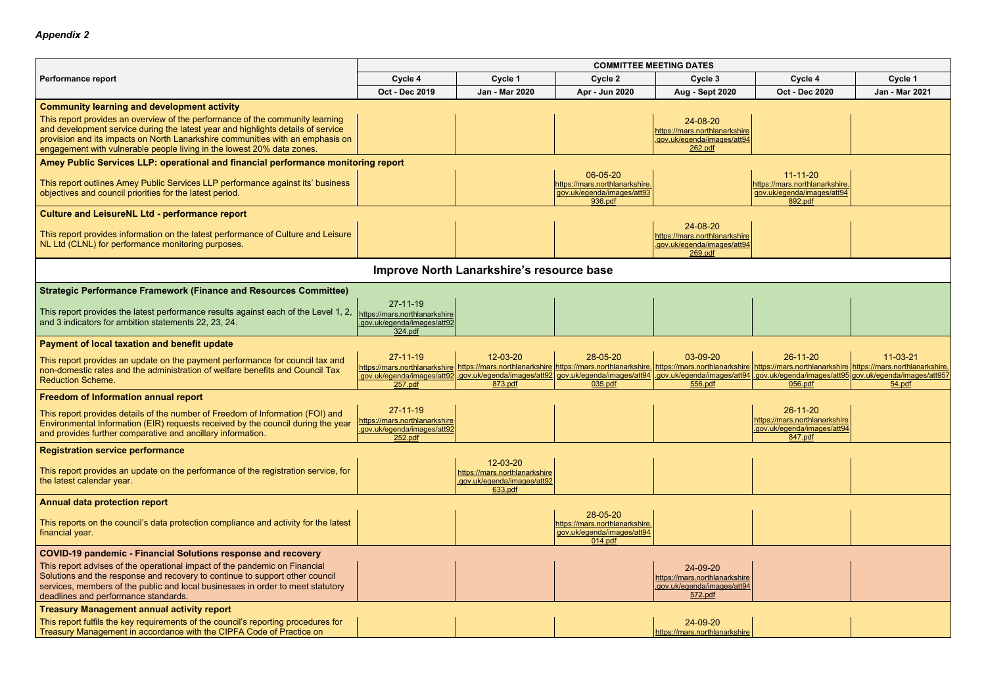|                                                                                                                                                                                                                                                                                                                               | <b>COMMITTEE MEETING DATES</b>                                                                                                                        |                                                                                            |                                                                                     |                                                                                     |                                                                                                                                                                                                               |                          |  |
|-------------------------------------------------------------------------------------------------------------------------------------------------------------------------------------------------------------------------------------------------------------------------------------------------------------------------------|-------------------------------------------------------------------------------------------------------------------------------------------------------|--------------------------------------------------------------------------------------------|-------------------------------------------------------------------------------------|-------------------------------------------------------------------------------------|---------------------------------------------------------------------------------------------------------------------------------------------------------------------------------------------------------------|--------------------------|--|
| <b>Performance report</b>                                                                                                                                                                                                                                                                                                     | Cycle 4                                                                                                                                               | Cycle 1                                                                                    | Cycle 2                                                                             | Cycle 3                                                                             | Cycle 4                                                                                                                                                                                                       | Cycle 1                  |  |
|                                                                                                                                                                                                                                                                                                                               | Oct - Dec 2019                                                                                                                                        | <b>Jan - Mar 2020</b>                                                                      | Apr - Jun 2020                                                                      | <b>Aug - Sept 2020</b>                                                              | <b>Oct - Dec 2020</b>                                                                                                                                                                                         | Jan - Mar 2021           |  |
| <b>Community learning and development activity</b>                                                                                                                                                                                                                                                                            |                                                                                                                                                       |                                                                                            |                                                                                     |                                                                                     |                                                                                                                                                                                                               |                          |  |
| This report provides an overview of the performance of the community learning<br>and development service during the latest year and highlights details of service<br>provision and its impacts on North Lanarkshire communities with an emphasis on<br>engagement with vulnerable people living in the lowest 20% data zones. |                                                                                                                                                       |                                                                                            |                                                                                     | 24-08-20<br>https://mars.northlanarkshire<br>.gov.uk/egenda/images/att94<br>262.pdf |                                                                                                                                                                                                               |                          |  |
| Amey Public Services LLP: operational and financial performance monitoring report                                                                                                                                                                                                                                             |                                                                                                                                                       |                                                                                            |                                                                                     |                                                                                     |                                                                                                                                                                                                               |                          |  |
| This report outlines Amey Public Services LLP performance against its' business<br>objectives and council priorities for the latest period.                                                                                                                                                                                   |                                                                                                                                                       |                                                                                            | 06-05-20<br>https://mars.northlanarkshire.<br>gov.uk/egenda/images/att93<br>936.pdf |                                                                                     | $11 - 11 - 20$<br>https://mars.northlanarkshire.<br>gov.uk/egenda/images/att94<br>892.pdf                                                                                                                     |                          |  |
| <b>Culture and LeisureNL Ltd - performance report</b>                                                                                                                                                                                                                                                                         |                                                                                                                                                       |                                                                                            |                                                                                     |                                                                                     |                                                                                                                                                                                                               |                          |  |
| This report provides information on the latest performance of Culture and Leisure<br>NL Ltd (CLNL) for performance monitoring purposes.                                                                                                                                                                                       |                                                                                                                                                       |                                                                                            |                                                                                     | 24-08-20<br>https://mars.northlanarkshire<br>.gov.uk/egenda/images/att94<br>269.pdf |                                                                                                                                                                                                               |                          |  |
|                                                                                                                                                                                                                                                                                                                               |                                                                                                                                                       | Improve North Lanarkshire's resource base                                                  |                                                                                     |                                                                                     |                                                                                                                                                                                                               |                          |  |
| <b>Strategic Performance Framework (Finance and Resources Committee)</b>                                                                                                                                                                                                                                                      |                                                                                                                                                       |                                                                                            |                                                                                     |                                                                                     |                                                                                                                                                                                                               |                          |  |
| This report provides the latest performance results against each of the Level 1, 2,<br>and 3 indicators for ambition statements 22, 23, 24.                                                                                                                                                                                   | $27 - 11 - 19$<br>https://mars.northlanarkshire<br>.gov.uk/egenda/images/att92<br>324.pdf                                                             |                                                                                            |                                                                                     |                                                                                     |                                                                                                                                                                                                               |                          |  |
| Payment of local taxation and benefit update                                                                                                                                                                                                                                                                                  |                                                                                                                                                       |                                                                                            |                                                                                     |                                                                                     |                                                                                                                                                                                                               |                          |  |
| This report provides an update on the payment performance for council tax and<br>non-domestic rates and the administration of welfare benefits and Council Tax<br><b>Reduction Scheme.</b>                                                                                                                                    | $27 - 11 - 19$<br>https://mars.northlanarkshire https://mars.northlanarkshire https://mars.northlanarkshire<br>.gov.uk/egenda/images/att92<br>257.pdf | 12-03-20<br>.gov.uk/egenda/images/att92 gov.uk/egenda/images/att94<br>873.pdf              | 28-05-20<br>035.pdf                                                                 | 03-09-20<br>556.pdf                                                                 | $26 - 11 - 20$<br>https://mars.northlanarkshire https://mars.northlanarkshire https://mars.northlanarkshire.<br>gov.uk/egenda/images/att94 .gov.uk/egenda/images/att95 gov.uk/egenda/images/att957<br>056.pdf | $11 - 03 - 21$<br>54.pdf |  |
| Freedom of Information annual report                                                                                                                                                                                                                                                                                          |                                                                                                                                                       |                                                                                            |                                                                                     |                                                                                     |                                                                                                                                                                                                               |                          |  |
| This report provides details of the number of Freedom of Information (FOI) and<br>Environmental Information (EIR) requests received by the council during the year<br>and provides further comparative and ancillary information.                                                                                             | $27 - 11 - 19$<br><u> https://mars.northlanarkshire</u><br>gov.uk/egenda/images/att92<br>252.pdf                                                      |                                                                                            |                                                                                     |                                                                                     | $26 - 11 - 20$<br>https://mars.northlanarkshire<br>.gov.uk/egenda/images/att94<br>847.pdf                                                                                                                     |                          |  |
| <b>Registration service performance</b>                                                                                                                                                                                                                                                                                       |                                                                                                                                                       |                                                                                            |                                                                                     |                                                                                     |                                                                                                                                                                                                               |                          |  |
| This report provides an update on the performance of the registration service, for<br>the latest calendar year.                                                                                                                                                                                                               |                                                                                                                                                       | 12-03-20<br>https://mars.northlanarkshire<br><u>.gov.uk/egenda/images/att92</u><br>633.pdf |                                                                                     |                                                                                     |                                                                                                                                                                                                               |                          |  |
| <b>Annual data protection report</b>                                                                                                                                                                                                                                                                                          |                                                                                                                                                       |                                                                                            |                                                                                     |                                                                                     |                                                                                                                                                                                                               |                          |  |
| This reports on the council's data protection compliance and activity for the latest<br>financial year.                                                                                                                                                                                                                       |                                                                                                                                                       |                                                                                            | 28-05-20<br>https://mars.northlanarkshire<br>gov.uk/egenda/images/att94<br>014.pdf  |                                                                                     |                                                                                                                                                                                                               |                          |  |
| <b>COVID-19 pandemic - Financial Solutions response and recovery</b>                                                                                                                                                                                                                                                          |                                                                                                                                                       |                                                                                            |                                                                                     |                                                                                     |                                                                                                                                                                                                               |                          |  |
| This report advises of the operational impact of the pandemic on Financial<br>Solutions and the response and recovery to continue to support other council<br>services, members of the public and local businesses in order to meet statutory<br>deadlines and performance standards.                                         |                                                                                                                                                       |                                                                                            |                                                                                     | 24-09-20<br>https://mars.northlanarkshire<br>.gov.uk/egenda/images/att94<br>572.pdf |                                                                                                                                                                                                               |                          |  |
| <b>Treasury Management annual activity report</b>                                                                                                                                                                                                                                                                             |                                                                                                                                                       |                                                                                            |                                                                                     |                                                                                     |                                                                                                                                                                                                               |                          |  |
| This report fulfils the key requirements of the council's reporting procedures for<br>Treasury Management in accordance with the CIPFA Code of Practice on                                                                                                                                                                    |                                                                                                                                                       |                                                                                            |                                                                                     | 24-09-20<br>https://mars.northlanarkshire                                           |                                                                                                                                                                                                               |                          |  |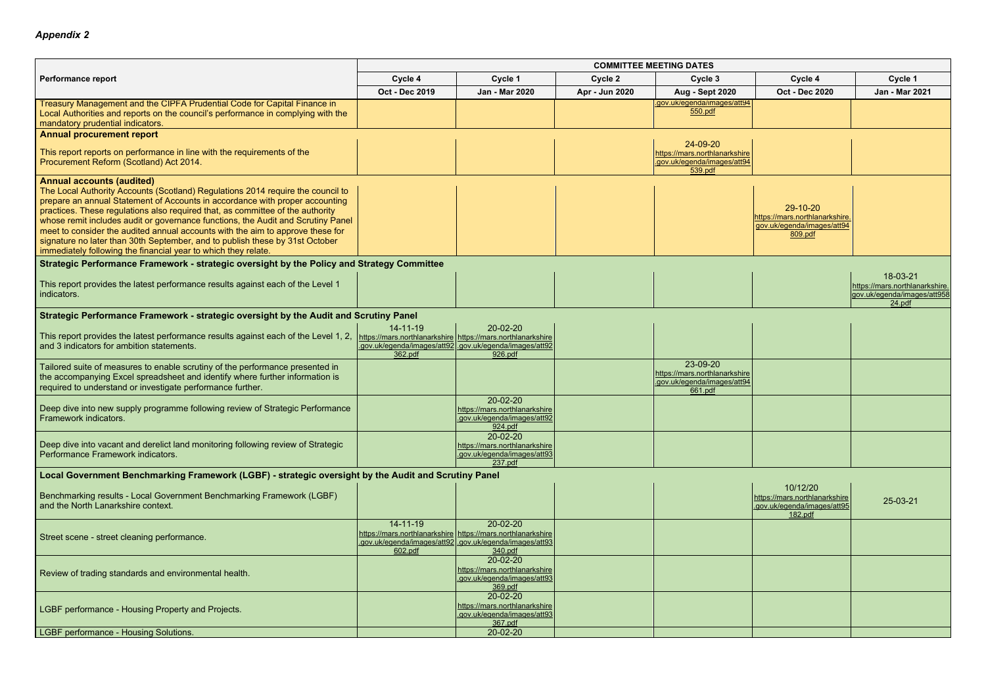|                                                                                                                                                                                                                                                                                                                                                                                                                                                                                                                                                                                                               | <b>COMMITTEE MEETING DATES</b>                                                           |                                                                                                                                                      |                |                                                                                     |                                                                                     |                                                                                     |  |  |
|---------------------------------------------------------------------------------------------------------------------------------------------------------------------------------------------------------------------------------------------------------------------------------------------------------------------------------------------------------------------------------------------------------------------------------------------------------------------------------------------------------------------------------------------------------------------------------------------------------------|------------------------------------------------------------------------------------------|------------------------------------------------------------------------------------------------------------------------------------------------------|----------------|-------------------------------------------------------------------------------------|-------------------------------------------------------------------------------------|-------------------------------------------------------------------------------------|--|--|
| <b>Performance report</b>                                                                                                                                                                                                                                                                                                                                                                                                                                                                                                                                                                                     | Cycle 4                                                                                  | Cycle 1                                                                                                                                              | Cycle 2        | Cycle 3                                                                             | Cycle 4                                                                             | Cycle 1                                                                             |  |  |
|                                                                                                                                                                                                                                                                                                                                                                                                                                                                                                                                                                                                               | Oct - Dec 2019                                                                           | Jan - Mar 2020                                                                                                                                       | Apr - Jun 2020 | <b>Aug - Sept 2020</b>                                                              | <b>Oct - Dec 2020</b>                                                               | Jan - Mar 2021                                                                      |  |  |
| Treasury Management and the CIPFA Prudential Code for Capital Finance in<br>Local Authorities and reports on the council's performance in complying with the<br>mandatory prudential indicators.                                                                                                                                                                                                                                                                                                                                                                                                              |                                                                                          |                                                                                                                                                      |                | .gov.uk/egenda/images/att94<br>550.pdf                                              |                                                                                     |                                                                                     |  |  |
| <b>Annual procurement report</b>                                                                                                                                                                                                                                                                                                                                                                                                                                                                                                                                                                              |                                                                                          |                                                                                                                                                      |                |                                                                                     |                                                                                     |                                                                                     |  |  |
| This report reports on performance in line with the requirements of the<br>Procurement Reform (Scotland) Act 2014.                                                                                                                                                                                                                                                                                                                                                                                                                                                                                            |                                                                                          |                                                                                                                                                      |                | 24-09-20<br>https://mars.northlanarkshire<br>.gov.uk/egenda/images/att94<br>539.pdf |                                                                                     |                                                                                     |  |  |
| <b>Annual accounts (audited)</b><br>The Local Authority Accounts (Scotland) Regulations 2014 require the council to<br>prepare an annual Statement of Accounts in accordance with proper accounting<br>practices. These regulations also required that, as committee of the authority<br>whose remit includes audit or governance functions, the Audit and Scrutiny Panel<br>meet to consider the audited annual accounts with the aim to approve these for<br>signature no later than 30th September, and to publish these by 31st October<br>immediately following the financial year to which they relate. |                                                                                          |                                                                                                                                                      |                |                                                                                     | 29-10-20<br>https://mars.northlanarkshire.<br>gov.uk/egenda/images/att94<br>809.pdf |                                                                                     |  |  |
| Strategic Performance Framework - strategic oversight by the Policy and Strategy Committee                                                                                                                                                                                                                                                                                                                                                                                                                                                                                                                    |                                                                                          |                                                                                                                                                      |                |                                                                                     |                                                                                     |                                                                                     |  |  |
| This report provides the latest performance results against each of the Level 1<br>indicators.                                                                                                                                                                                                                                                                                                                                                                                                                                                                                                                |                                                                                          |                                                                                                                                                      |                |                                                                                     |                                                                                     | 18-03-21<br>https://mars.northlanarkshire.<br>gov.uk/egenda/images/att958<br>24.pdf |  |  |
| Strategic Performance Framework - strategic oversight by the Audit and Scrutiny Panel                                                                                                                                                                                                                                                                                                                                                                                                                                                                                                                         |                                                                                          |                                                                                                                                                      |                |                                                                                     |                                                                                     |                                                                                     |  |  |
| This report provides the latest performance results against each of the Level 1, 2,<br>and 3 indicators for ambition statements.                                                                                                                                                                                                                                                                                                                                                                                                                                                                              | $14 - 11 - 19$<br>https://mars.northlanarkshire https://mars.northlanarkshire<br>362.pdf | 20-02-20<br>.gov.uk/egenda/images/att92.gov.uk/egenda/images/att92<br>926.pdf                                                                        |                |                                                                                     |                                                                                     |                                                                                     |  |  |
| Tailored suite of measures to enable scrutiny of the performance presented in<br>the accompanying Excel spreadsheet and identify where further information is<br>required to understand or investigate performance further.                                                                                                                                                                                                                                                                                                                                                                                   |                                                                                          |                                                                                                                                                      |                | 23-09-20<br>https://mars.northlanarkshire<br>.gov.uk/egenda/images/att94<br>661.pdf |                                                                                     |                                                                                     |  |  |
| Deep dive into new supply programme following review of Strategic Performance<br>Framework indicators.                                                                                                                                                                                                                                                                                                                                                                                                                                                                                                        |                                                                                          | 20-02-20<br>https://mars.northlanarkshire<br>.gov.uk/egenda/images/att92<br>924.pdf                                                                  |                |                                                                                     |                                                                                     |                                                                                     |  |  |
| Deep dive into vacant and derelict land monitoring following review of Strategic<br>Performance Framework indicators.                                                                                                                                                                                                                                                                                                                                                                                                                                                                                         |                                                                                          | 20-02-20<br>https://mars.northlanarkshire<br>.gov.uk/egenda/images/att93<br>237.pdf                                                                  |                |                                                                                     |                                                                                     |                                                                                     |  |  |
| Local Government Benchmarking Framework (LGBF) - strategic oversight by the Audit and Scrutiny Panel                                                                                                                                                                                                                                                                                                                                                                                                                                                                                                          |                                                                                          |                                                                                                                                                      |                |                                                                                     |                                                                                     |                                                                                     |  |  |
| Benchmarking results - Local Government Benchmarking Framework (LGBF)<br>and the North Lanarkshire context.                                                                                                                                                                                                                                                                                                                                                                                                                                                                                                   |                                                                                          |                                                                                                                                                      |                |                                                                                     | 10/12/20<br>https://mars.northlanarkshire<br>.gov.uk/egenda/images/att95<br>182.pdf | 25-03-21                                                                            |  |  |
| Street scene - street cleaning performance.                                                                                                                                                                                                                                                                                                                                                                                                                                                                                                                                                                   | $14 - 11 - 19$<br>602.pdf                                                                | 20-02-20<br><u>nttps://mars.northlanarkshire https://mars.northlanarkshire</u><br>.gov.uk/egenda/images/att92 .gov.uk/egenda/images/att93<br>340.pdf |                |                                                                                     |                                                                                     |                                                                                     |  |  |
| Review of trading standards and environmental health.                                                                                                                                                                                                                                                                                                                                                                                                                                                                                                                                                         |                                                                                          | 20-02-20<br>https://mars.northlanarkshire<br>.gov.uk/egenda/images/att93<br>369.pdf                                                                  |                |                                                                                     |                                                                                     |                                                                                     |  |  |
| LGBF performance - Housing Property and Projects.                                                                                                                                                                                                                                                                                                                                                                                                                                                                                                                                                             |                                                                                          | 20-02-20<br>https://mars.northlanarkshire<br>.gov.uk/egenda/images/att93<br>367.pdf                                                                  |                |                                                                                     |                                                                                     |                                                                                     |  |  |
| <b>LGBF performance - Housing Solutions.</b>                                                                                                                                                                                                                                                                                                                                                                                                                                                                                                                                                                  |                                                                                          | 20-02-20                                                                                                                                             |                |                                                                                     |                                                                                     |                                                                                     |  |  |